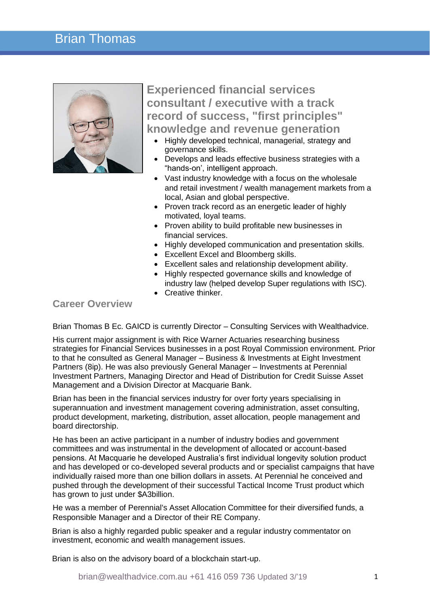## Brian Thomas



**Experienced financial services consultant / executive with a track record of success, "first principles" knowledge and revenue generation**

- Highly developed technical, managerial, strategy and governance skills.
- Develops and leads effective business strategies with a "hands-on', intelligent approach.
- Vast industry knowledge with a focus on the wholesale and retail investment / wealth management markets from a local, Asian and global perspective.
- Proven track record as an energetic leader of highly motivated, loyal teams.
- Proven ability to build profitable new businesses in financial services.
- Highly developed communication and presentation skills.
- Excellent Excel and Bloomberg skills.
- Excellent sales and relationship development ability.
- Highly respected governance skills and knowledge of industry law (helped develop Super regulations with ISC).
- Creative thinker.

## **Career Overview**

Brian Thomas B Ec. GAICD is currently Director – Consulting Services with Wealthadvice.

His current major assignment is with Rice Warner Actuaries researching business strategies for Financial Services businesses in a post Royal Commission environment. Prior to that he consulted as General Manager – Business & Investments at Eight Investment Partners (8ip). He was also previously General Manager – Investments at Perennial Investment Partners, Managing Director and Head of Distribution for Credit Suisse Asset Management and a Division Director at Macquarie Bank.

Brian has been in the financial services industry for over forty years specialising in superannuation and investment management covering administration, asset consulting, product development, marketing, distribution, asset allocation, people management and board directorship.

He has been an active participant in a number of industry bodies and government committees and was instrumental in the development of allocated or account-based pensions. At Macquarie he developed Australia's first individual longevity solution product and has developed or co-developed several products and or specialist campaigns that have individually raised more than one billion dollars in assets. At Perennial he conceived and pushed through the development of their successful Tactical Income Trust product which has grown to just under \$A3billion.

He was a member of Perennial's Asset Allocation Committee for their diversified funds, a Responsible Manager and a Director of their RE Company.

Brian is also a highly regarded public speaker and a regular industry commentator on investment, economic and wealth management issues.

Brian is also on the advisory board of a blockchain start-up.